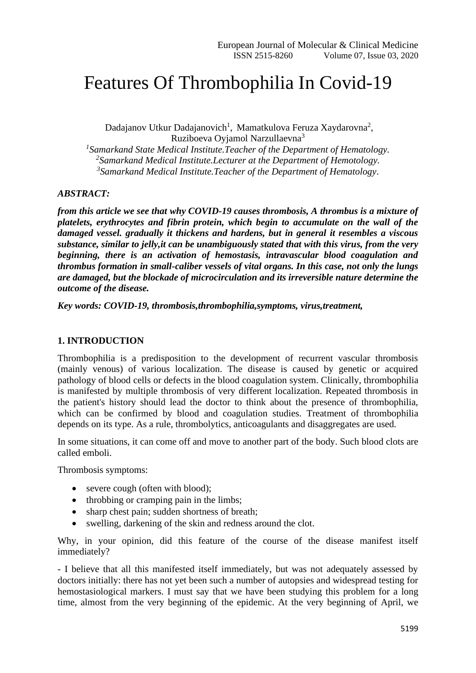## Features Of Thrombophilia In Covid-19

Dadajanov Utkur Dadajanovich<sup>1</sup>, Mamatkulova Feruza Xaydarovna<sup>2</sup>, Ruziboeva Oyjamol Narzullaevna<sup>3</sup>

*1 Samarkand State Medical Institute.Teacher of the Department of Hematology. 2 Samarkand Medical Institute.Lecturer at the Department of Hemotology. 3 Samarkand Medical Institute.Teacher of the Department of Hematology*.

## *ABSTRACT:*

*from this article we see that why COVID-19 causes thrombosis, A thrombus is a mixture of platelets, erythrocytes and fibrin protein, which begin to accumulate on the wall of the damaged vessel. gradually it thickens and hardens, but in general it resembles a viscous substance, similar to jelly,it can be unambiguously stated that with this virus, from the very beginning, there is an activation of hemostasis, intravascular blood coagulation and thrombus formation in small-caliber vessels of vital organs. In this case, not only the lungs are damaged, but the blockade of microcirculation and its irreversible nature determine the outcome of the disease.*

*Key words: COVID-19, thrombosis,thrombophilia,symptoms, virus,treatment,*

## **1. INTRODUCTION**

Thrombophilia is a predisposition to the development of recurrent vascular thrombosis (mainly venous) of various localization. The disease is caused by genetic or acquired pathology of blood cells or defects in the blood coagulation system. Clinically, thrombophilia is manifested by multiple thrombosis of very different localization. Repeated thrombosis in the patient's history should lead the doctor to think about the presence of thrombophilia, which can be confirmed by blood and coagulation studies. Treatment of thrombophilia depends on its type. As a rule, thrombolytics, anticoagulants and disaggregates are used.

In some situations, it can come off and move to another part of the body. Such blood clots are called emboli.

Thrombosis symptoms:

- severe cough (often with blood);
- throbbing or cramping pain in the limbs;
- sharp chest pain; sudden shortness of breath;
- swelling, darkening of the skin and redness around the clot.

Why, in your opinion, did this feature of the course of the disease manifest itself immediately?

- I believe that all this manifested itself immediately, but was not adequately assessed by doctors initially: there has not yet been such a number of autopsies and widespread testing for hemostasiological markers. I must say that we have been studying this problem for a long time, almost from the very beginning of the epidemic. At the very beginning of April, we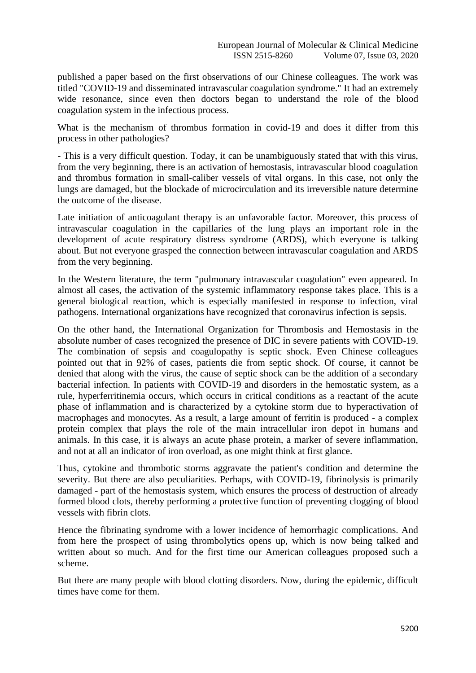published a paper based on the first observations of our Chinese colleagues. The work was titled "COVID-19 and disseminated intravascular coagulation syndrome." It had an extremely wide resonance, since even then doctors began to understand the role of the blood coagulation system in the infectious process.

What is the mechanism of thrombus formation in covid-19 and does it differ from this process in other pathologies?

- This is a very difficult question. Today, it can be unambiguously stated that with this virus, from the very beginning, there is an activation of hemostasis, intravascular blood coagulation and thrombus formation in small-caliber vessels of vital organs. In this case, not only the lungs are damaged, but the blockade of microcirculation and its irreversible nature determine the outcome of the disease.

Late initiation of anticoagulant therapy is an unfavorable factor. Moreover, this process of intravascular coagulation in the capillaries of the lung plays an important role in the development of acute respiratory distress syndrome (ARDS), which everyone is talking about. But not everyone grasped the connection between intravascular coagulation and ARDS from the very beginning.

In the Western literature, the term "pulmonary intravascular coagulation" even appeared. In almost all cases, the activation of the systemic inflammatory response takes place. This is a general biological reaction, which is especially manifested in response to infection, viral pathogens. International organizations have recognized that coronavirus infection is sepsis.

On the other hand, the International Organization for Thrombosis and Hemostasis in the absolute number of cases recognized the presence of DIC in severe patients with COVID-19. The combination of sepsis and coagulopathy is septic shock. Even Chinese colleagues pointed out that in 92% of cases, patients die from septic shock. Of course, it cannot be denied that along with the virus, the cause of septic shock can be the addition of a secondary bacterial infection. In patients with COVID-19 and disorders in the hemostatic system, as a rule, hyperferritinemia occurs, which occurs in critical conditions as a reactant of the acute phase of inflammation and is characterized by a cytokine storm due to hyperactivation of macrophages and monocytes. As a result, a large amount of ferritin is produced - a complex protein complex that plays the role of the main intracellular iron depot in humans and animals. In this case, it is always an acute phase protein, a marker of severe inflammation, and not at all an indicator of iron overload, as one might think at first glance.

Thus, cytokine and thrombotic storms aggravate the patient's condition and determine the severity. But there are also peculiarities. Perhaps, with COVID-19, fibrinolysis is primarily damaged - part of the hemostasis system, which ensures the process of destruction of already formed blood clots, thereby performing a protective function of preventing clogging of blood vessels with fibrin clots.

Hence the fibrinating syndrome with a lower incidence of hemorrhagic complications. And from here the prospect of using thrombolytics opens up, which is now being talked and written about so much. And for the first time our American colleagues proposed such a scheme.

But there are many people with blood clotting disorders. Now, during the epidemic, difficult times have come for them.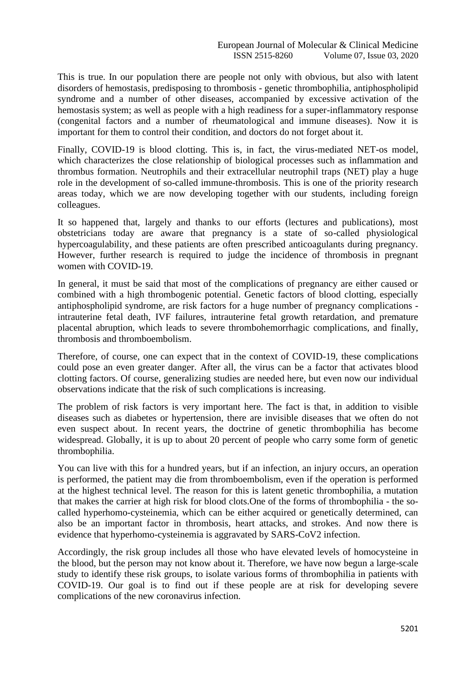This is true. In our population there are people not only with obvious, but also with latent disorders of hemostasis, predisposing to thrombosis - genetic thrombophilia, antiphospholipid syndrome and a number of other diseases, accompanied by excessive activation of the hemostasis system; as well as people with a high readiness for a super-inflammatory response (congenital factors and a number of rheumatological and immune diseases). Now it is important for them to control their condition, and doctors do not forget about it.

Finally, COVID-19 is blood clotting. This is, in fact, the virus-mediated NET-os model, which characterizes the close relationship of biological processes such as inflammation and thrombus formation. Neutrophils and their extracellular neutrophil traps (NET) play a huge role in the development of so-called immune-thrombosis. This is one of the priority research areas today, which we are now developing together with our students, including foreign colleagues.

It so happened that, largely and thanks to our efforts (lectures and publications), most obstetricians today are aware that pregnancy is a state of so-called physiological hypercoagulability, and these patients are often prescribed anticoagulants during pregnancy. However, further research is required to judge the incidence of thrombosis in pregnant women with COVID-19.

In general, it must be said that most of the complications of pregnancy are either caused or combined with a high thrombogenic potential. Genetic factors of blood clotting, especially antiphospholipid syndrome, are risk factors for a huge number of pregnancy complications intrauterine fetal death, IVF failures, intrauterine fetal growth retardation, and premature placental abruption, which leads to severe thrombohemorrhagic complications, and finally, thrombosis and thromboembolism.

Therefore, of course, one can expect that in the context of COVID-19, these complications could pose an even greater danger. After all, the virus can be a factor that activates blood clotting factors. Of course, generalizing studies are needed here, but even now our individual observations indicate that the risk of such complications is increasing.

The problem of risk factors is very important here. The fact is that, in addition to visible diseases such as diabetes or hypertension, there are invisible diseases that we often do not even suspect about. In recent years, the doctrine of genetic thrombophilia has become widespread. Globally, it is up to about 20 percent of people who carry some form of genetic thrombophilia.

You can live with this for a hundred years, but if an infection, an injury occurs, an operation is performed, the patient may die from thromboembolism, even if the operation is performed at the highest technical level. The reason for this is latent genetic thrombophilia, a mutation that makes the carrier at high risk for blood clots.One of the forms of thrombophilia - the socalled hyperhomo-cysteinemia, which can be either acquired or genetically determined, can also be an important factor in thrombosis, heart attacks, and strokes. And now there is evidence that hyperhomo-cysteinemia is aggravated by SARS-CoV2 infection.

Accordingly, the risk group includes all those who have elevated levels of homocysteine in the blood, but the person may not know about it. Therefore, we have now begun a large-scale study to identify these risk groups, to isolate various forms of thrombophilia in patients with COVID-19. Our goal is to find out if these people are at risk for developing severe complications of the new coronavirus infection.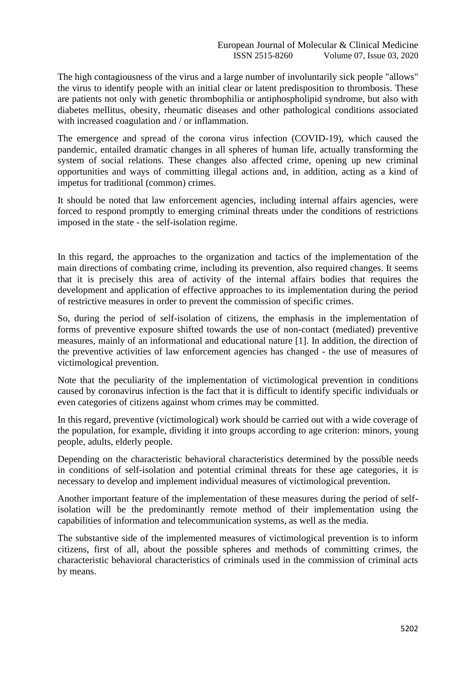The high contagiousness of the virus and a large number of involuntarily sick people "allows" the virus to identify people with an initial clear or latent predisposition to thrombosis. These are patients not only with genetic thrombophilia or antiphospholipid syndrome, but also with diabetes mellitus, obesity, rheumatic diseases and other pathological conditions associated with increased coagulation and / or inflammation.

The emergence and spread of the corona virus infection (COVID-19), which caused the pandemic, entailed dramatic changes in all spheres of human life, actually transforming the system of social relations. These changes also affected crime, opening up new criminal opportunities and ways of committing illegal actions and, in addition, acting as a kind of impetus for traditional (common) crimes.

It should be noted that law enforcement agencies, including internal affairs agencies, were forced to respond promptly to emerging criminal threats under the conditions of restrictions imposed in the state - the self-isolation regime.

In this regard, the approaches to the organization and tactics of the implementation of the main directions of combating crime, including its prevention, also required changes. It seems that it is precisely this area of activity of the internal affairs bodies that requires the development and application of effective approaches to its implementation during the period of restrictive measures in order to prevent the commission of specific crimes.

So, during the period of self-isolation of citizens, the emphasis in the implementation of forms of preventive exposure shifted towards the use of non-contact (mediated) preventive measures, mainly of an informational and educational nature [1]. In addition, the direction of the preventive activities of law enforcement agencies has changed - the use of measures of victimological prevention.

Note that the peculiarity of the implementation of victimological prevention in conditions caused by coronavirus infection is the fact that it is difficult to identify specific individuals or even categories of citizens against whom crimes may be committed.

In this regard, preventive (victimological) work should be carried out with a wide coverage of the population, for example, dividing it into groups according to age criterion: minors, young people, adults, elderly people.

Depending on the characteristic behavioral characteristics determined by the possible needs in conditions of self-isolation and potential criminal threats for these age categories, it is necessary to develop and implement individual measures of victimological prevention.

Another important feature of the implementation of these measures during the period of selfisolation will be the predominantly remote method of their implementation using the capabilities of information and telecommunication systems, as well as the media.

The substantive side of the implemented measures of victimological prevention is to inform citizens, first of all, about the possible spheres and methods of committing crimes, the characteristic behavioral characteristics of criminals used in the commission of criminal acts by means.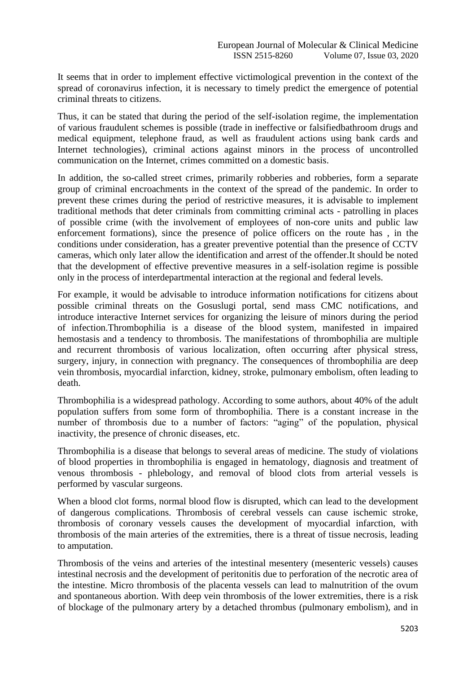It seems that in order to implement effective victimological prevention in the context of the spread of coronavirus infection, it is necessary to timely predict the emergence of potential criminal threats to citizens.

Thus, it can be stated that during the period of the self-isolation regime, the implementation of various fraudulent schemes is possible (trade in ineffective or falsifiedbathroom drugs and medical equipment, telephone fraud, as well as fraudulent actions using bank cards and Internet technologies), criminal actions against minors in the process of uncontrolled communication on the Internet, crimes committed on a domestic basis.

In addition, the so-called street crimes, primarily robberies and robberies, form a separate group of criminal encroachments in the context of the spread of the pandemic. In order to prevent these crimes during the period of restrictive measures, it is advisable to implement traditional methods that deter criminals from committing criminal acts - patrolling in places of possible crime (with the involvement of employees of non-core units and public law enforcement formations), since the presence of police officers on the route has , in the conditions under consideration, has a greater preventive potential than the presence of CCTV cameras, which only later allow the identification and arrest of the offender.It should be noted that the development of effective preventive measures in a self-isolation regime is possible only in the process of interdepartmental interaction at the regional and federal levels.

For example, it would be advisable to introduce information notifications for citizens about possible criminal threats on the Gosuslugi portal, send mass CMC notifications, and introduce interactive Internet services for organizing the leisure of minors during the period of infection.Thrombophilia is a disease of the blood system, manifested in impaired hemostasis and a tendency to thrombosis. The manifestations of thrombophilia are multiple and recurrent thrombosis of various localization, often occurring after physical stress, surgery, injury, in connection with pregnancy. The consequences of thrombophilia are deep vein thrombosis, myocardial infarction, kidney, stroke, pulmonary embolism, often leading to death.

Thrombophilia is a widespread pathology. According to some authors, about 40% of the adult population suffers from some form of thrombophilia. There is a constant increase in the number of thrombosis due to a number of factors: "aging" of the population, physical inactivity, the presence of chronic diseases, etc.

Thrombophilia is a disease that belongs to several areas of medicine. The study of violations of blood properties in thrombophilia is engaged in hematology, diagnosis and treatment of venous thrombosis - phlebology, and removal of blood clots from arterial vessels is performed by vascular surgeons.

When a blood clot forms, normal blood flow is disrupted, which can lead to the development of dangerous complications. Thrombosis of cerebral vessels can cause ischemic stroke, thrombosis of coronary vessels causes the development of myocardial infarction, with thrombosis of the main arteries of the extremities, there is a threat of tissue necrosis, leading to amputation.

Thrombosis of the veins and arteries of the intestinal mesentery (mesenteric vessels) causes intestinal necrosis and the development of peritonitis due to perforation of the necrotic area of the intestine. Micro thrombosis of the placenta vessels can lead to malnutrition of the ovum and spontaneous abortion. With deep vein thrombosis of the lower extremities, there is a risk of blockage of the pulmonary artery by a detached thrombus (pulmonary embolism), and in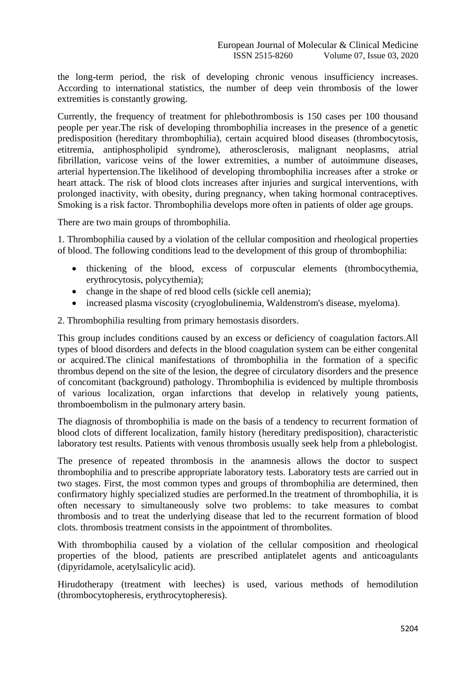the long-term period, the risk of developing chronic venous insufficiency increases. According to international statistics, the number of deep vein thrombosis of the lower extremities is constantly growing.

Currently, the frequency of treatment for phlebothrombosis is 150 cases per 100 thousand people per year.The risk of developing thrombophilia increases in the presence of a genetic predisposition (hereditary thrombophilia), certain acquired blood diseases (thrombocytosis, etitremia, antiphospholipid syndrome), atherosclerosis, malignant neoplasms, atrial fibrillation, varicose veins of the lower extremities, a number of autoimmune diseases, arterial hypertension.The likelihood of developing thrombophilia increases after a stroke or heart attack. The risk of blood clots increases after injuries and surgical interventions, with prolonged inactivity, with obesity, during pregnancy, when taking hormonal contraceptives. Smoking is a risk factor. Thrombophilia develops more often in patients of older age groups.

There are two main groups of thrombophilia.

1. Thrombophilia caused by a violation of the cellular composition and rheological properties of blood. The following conditions lead to the development of this group of thrombophilia:

- thickening of the blood, excess of corpuscular elements (thrombocythemia, erythrocytosis, polycythemia);
- change in the shape of red blood cells (sickle cell anemia);
- increased plasma viscosity (cryoglobulinemia, Waldenstrom's disease, myeloma).

2. Thrombophilia resulting from primary hemostasis disorders.

This group includes conditions caused by an excess or deficiency of coagulation factors.All types of blood disorders and defects in the blood coagulation system can be either congenital or acquired.The clinical manifestations of thrombophilia in the formation of a specific thrombus depend on the site of the lesion, the degree of circulatory disorders and the presence of concomitant (background) pathology. Thrombophilia is evidenced by multiple thrombosis of various localization, organ infarctions that develop in relatively young patients, thromboembolism in the pulmonary artery basin.

The diagnosis of thrombophilia is made on the basis of a tendency to recurrent formation of blood clots of different localization, family history (hereditary predisposition), characteristic laboratory test results. Patients with venous thrombosis usually seek help from a phlebologist.

The presence of repeated thrombosis in the anamnesis allows the doctor to suspect thrombophilia and to prescribe appropriate laboratory tests. Laboratory tests are carried out in two stages. First, the most common types and groups of thrombophilia are determined, then confirmatory highly specialized studies are performed.In the treatment of thrombophilia, it is often necessary to simultaneously solve two problems: to take measures to combat thrombosis and to treat the underlying disease that led to the recurrent formation of blood clots. thrombosis treatment consists in the appointment of thrombolites.

With thrombophilia caused by a violation of the cellular composition and rheological properties of the blood, patients are prescribed antiplatelet agents and anticoagulants (dipyridamole, acetylsalicylic acid).

Hirudotherapy (treatment with leeches) is used, various methods of hemodilution (thrombocytopheresis, erythrocytopheresis).